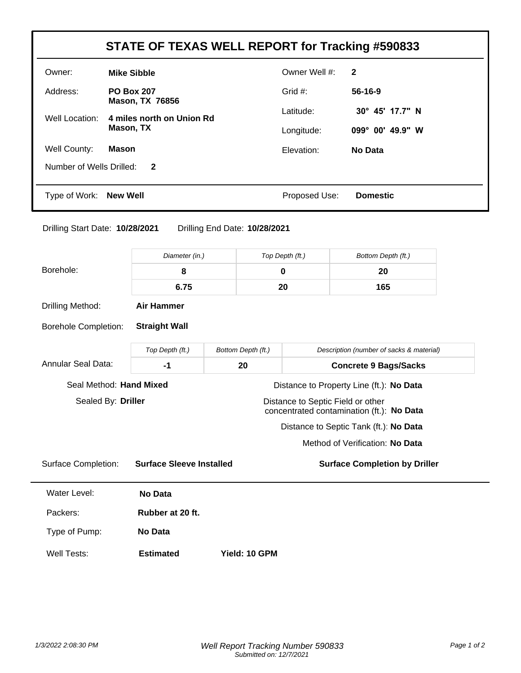| Owner:                                                                                                   |                                             |                    | Owner Well #:                     | $\mathbf{2}$                              |  |
|----------------------------------------------------------------------------------------------------------|---------------------------------------------|--------------------|-----------------------------------|-------------------------------------------|--|
|                                                                                                          | <b>Mike Sibble</b>                          |                    |                                   |                                           |  |
| Address:                                                                                                 | <b>PO Box 207</b><br><b>Mason, TX 76856</b> |                    | Grid #:                           | $56-16-9$                                 |  |
| Well Location:                                                                                           | 4 miles north on Union Rd                   |                    | Latitude:                         | 30° 45' 17.7" N                           |  |
|                                                                                                          | Mason, TX                                   |                    | Longitude:                        | 099° 00' 49.9" W                          |  |
| Well County:                                                                                             | <b>Mason</b>                                |                    | Elevation:                        | <b>No Data</b>                            |  |
| Number of Wells Drilled:                                                                                 | $\mathbf{2}$                                |                    |                                   |                                           |  |
| Type of Work: New Well                                                                                   |                                             |                    | Proposed Use:                     | <b>Domestic</b>                           |  |
|                                                                                                          |                                             |                    | Top Depth (ft.)                   | Bottom Depth (ft.)                        |  |
| Diameter (in.)                                                                                           |                                             |                    |                                   |                                           |  |
|                                                                                                          |                                             |                    |                                   |                                           |  |
|                                                                                                          | 8                                           |                    | 0                                 | 20                                        |  |
|                                                                                                          | 6.75                                        |                    | 20                                | 165                                       |  |
|                                                                                                          | <b>Air Hammer</b>                           |                    |                                   |                                           |  |
|                                                                                                          | <b>Straight Wall</b>                        |                    |                                   |                                           |  |
|                                                                                                          | Top Depth (ft.)                             | Bottom Depth (ft.) |                                   | Description (number of sacks & material)  |  |
|                                                                                                          | $-1$                                        | 20                 |                                   | <b>Concrete 9 Bags/Sacks</b>              |  |
|                                                                                                          | Seal Method: Hand Mixed                     |                    |                                   | Distance to Property Line (ft.): No Data  |  |
| Borehole:<br>Drilling Method:<br><b>Borehole Completion:</b><br>Annular Seal Data:<br>Sealed By: Driller |                                             |                    | Distance to Septic Field or other | concentrated contamination (ft.): No Data |  |
|                                                                                                          |                                             |                    |                                   | Distance to Septic Tank (ft.): No Data    |  |
|                                                                                                          |                                             |                    |                                   | Method of Verification: No Data           |  |
|                                                                                                          | <b>Surface Sleeve Installed</b>             |                    |                                   | <b>Surface Completion by Driller</b>      |  |
| <b>Surface Completion:</b><br>Water Level:                                                               | <b>No Data</b>                              |                    |                                   |                                           |  |

Type of Pump: **No Data**

Well Tests: **Estimated Yield: 10 GPM**